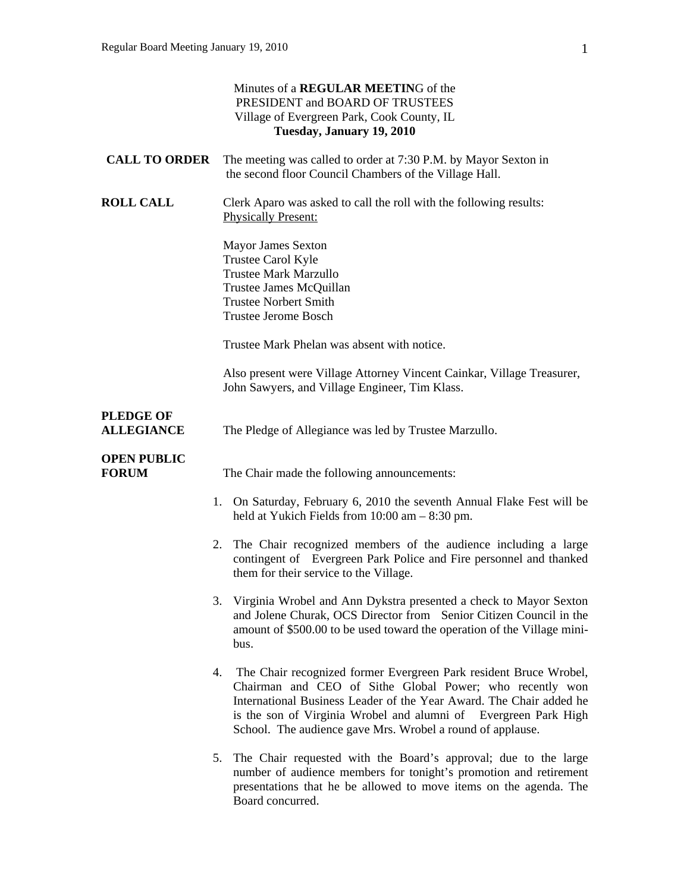|                                       | Minutes of a REGULAR MEETING of the<br>PRESIDENT and BOARD OF TRUSTEES<br>Village of Evergreen Park, Cook County, IL<br>Tuesday, January 19, 2010                                                                                                                                                                                           |
|---------------------------------------|---------------------------------------------------------------------------------------------------------------------------------------------------------------------------------------------------------------------------------------------------------------------------------------------------------------------------------------------|
| <b>CALL TO ORDER</b>                  | The meeting was called to order at 7:30 P.M. by Mayor Sexton in<br>the second floor Council Chambers of the Village Hall.                                                                                                                                                                                                                   |
| <b>ROLL CALL</b>                      | Clerk Aparo was asked to call the roll with the following results:<br><b>Physically Present:</b>                                                                                                                                                                                                                                            |
|                                       | <b>Mayor James Sexton</b><br>Trustee Carol Kyle<br><b>Trustee Mark Marzullo</b><br>Trustee James McQuillan<br><b>Trustee Norbert Smith</b><br><b>Trustee Jerome Bosch</b>                                                                                                                                                                   |
|                                       | Trustee Mark Phelan was absent with notice.                                                                                                                                                                                                                                                                                                 |
|                                       | Also present were Village Attorney Vincent Cainkar, Village Treasurer,<br>John Sawyers, and Village Engineer, Tim Klass.                                                                                                                                                                                                                    |
| <b>PLEDGE OF</b><br><b>ALLEGIANCE</b> | The Pledge of Allegiance was led by Trustee Marzullo.                                                                                                                                                                                                                                                                                       |
| <b>OPEN PUBLIC</b><br><b>FORUM</b>    | The Chair made the following announcements:                                                                                                                                                                                                                                                                                                 |
|                                       | 1. On Saturday, February 6, 2010 the seventh Annual Flake Fest will be<br>held at Yukich Fields from $10:00$ am $-8:30$ pm.                                                                                                                                                                                                                 |
|                                       | The Chair recognized members of the audience including a large<br>2.<br>contingent of Evergreen Park Police and Fire personnel and thanked<br>them for their service to the Village.                                                                                                                                                        |
|                                       | 3. Virginia Wrobel and Ann Dykstra presented a check to Mayor Sexton<br>and Jolene Churak, OCS Director from Senior Citizen Council in the<br>amount of \$500.00 to be used toward the operation of the Village mini-<br>bus.                                                                                                               |
|                                       | The Chair recognized former Evergreen Park resident Bruce Wrobel,<br>4.<br>Chairman and CEO of Sithe Global Power; who recently won<br>International Business Leader of the Year Award. The Chair added he<br>is the son of Virginia Wrobel and alumni of Evergreen Park High<br>School. The audience gave Mrs. Wrobel a round of applause. |
|                                       | The Chair requested with the Board's approval; due to the large<br>5.<br>number of audience members for tonight's promotion and retirement<br>presentations that he be allowed to move items on the agenda. The<br>Board concurred.                                                                                                         |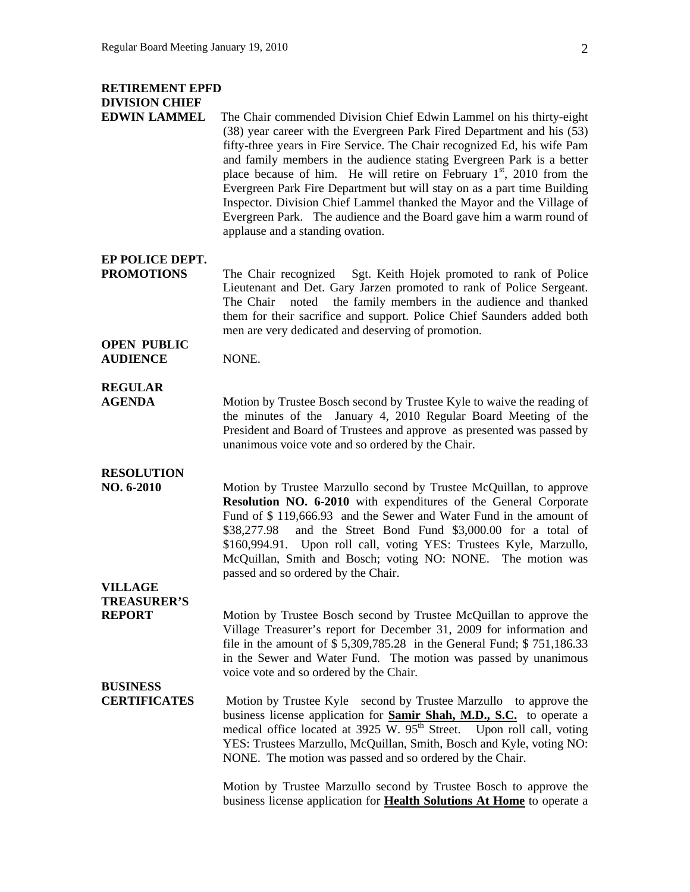## **RETIREMENT EPFD DIVISION CHIEF**

**EDWIN LAMMEL** The Chair commended Division Chief Edwin Lammel on his thirty-eight (38) year career with the Evergreen Park Fired Department and his (53) fifty-three years in Fire Service. The Chair recognized Ed, his wife Pam and family members in the audience stating Evergreen Park is a better place because of him. He will retire on February  $1<sup>st</sup>$ , 2010 from the Evergreen Park Fire Department but will stay on as a part time Building Inspector. Division Chief Lammel thanked the Mayor and the Village of Evergreen Park. The audience and the Board gave him a warm round of applause and a standing ovation.

**EP POLICE DEPT.** 

**PROMOTIONS** The Chair recognized Sgt. Keith Hojek promoted to rank of Police Lieutenant and Det. Gary Jarzen promoted to rank of Police Sergeant. The Chair noted the family members in the audience and thanked them for their sacrifice and support. Police Chief Saunders added both men are very dedicated and deserving of promotion.

**OPEN PUBLIC AUDIENCE** NONE.

## **REGULAR**

**AGENDA** Motion by Trustee Bosch second by Trustee Kyle to waive the reading of the minutes of the January 4, 2010 Regular Board Meeting of the President and Board of Trustees and approve as presented was passed by unanimous voice vote and so ordered by the Chair.

#### **RESOLUTION**

**NO. 6-2010** Motion by Trustee Marzullo second by Trustee McQuillan, to approve **Resolution NO. 6-2010** with expenditures of the General Corporate Fund of \$ 119,666.93 and the Sewer and Water Fund in the amount of \$38,277.98 and the Street Bond Fund \$3,000.00 for a total of \$160,994.91. Upon roll call, voting YES: Trustees Kyle, Marzullo, McQuillan, Smith and Bosch; voting NO: NONE. The motion was passed and so ordered by the Chair.

#### **VILLAGE TREASURER'S**

**REPORT** Motion by Trustee Bosch second by Trustee McQuillan to approve the Village Treasurer's report for December 31, 2009 for information and file in the amount of \$ 5,309,785.28 in the General Fund; \$ 751,186.33 in the Sewer and Water Fund. The motion was passed by unanimous voice vote and so ordered by the Chair.

## **BUSINESS**

**CERTIFICATES** Motion by Trustee Kyle second by Trustee Marzullo to approve the business license application for **Samir Shah, M.D., S.C.** to operate a medical office located at  $3925$  W.  $95<sup>th</sup>$  Street. Upon roll call, voting YES: Trustees Marzullo, McQuillan, Smith, Bosch and Kyle, voting NO: NONE. The motion was passed and so ordered by the Chair.

> Motion by Trustee Marzullo second by Trustee Bosch to approve the business license application for **Health Solutions At Home** to operate a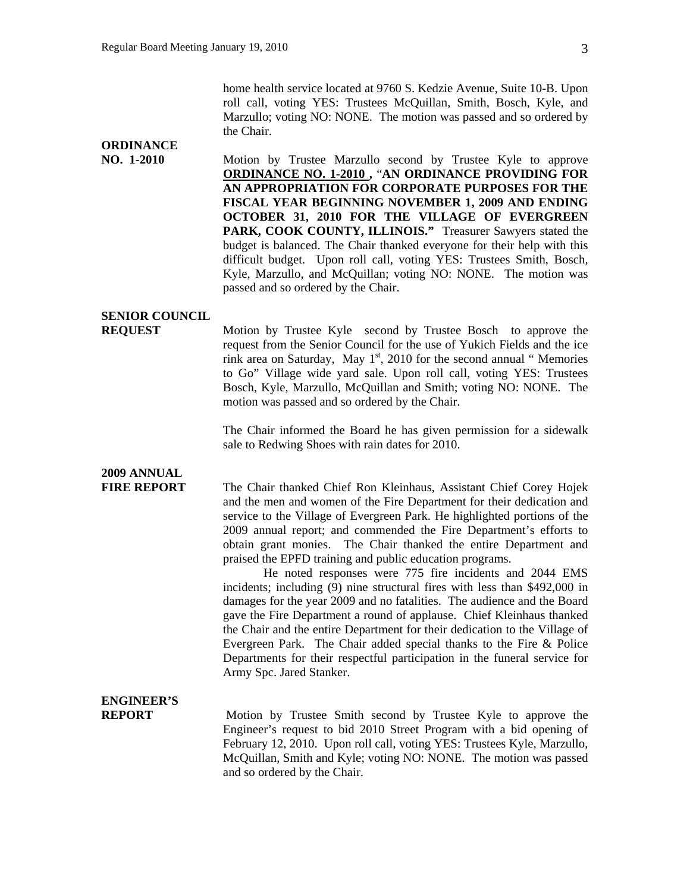home health service located at 9760 S. Kedzie Avenue, Suite 10-B. Upon roll call, voting YES: Trustees McQuillan, Smith, Bosch, Kyle, and Marzullo; voting NO: NONE. The motion was passed and so ordered by the Chair.

#### **NO. 1-2010 Motion by Trustee Marzullo second by Trustee Kyle to approve ORDINANCE NO. 1-2010 ,** "**AN ORDINANCE PROVIDING FOR AN APPROPRIATION FOR CORPORATE PURPOSES FOR THE FISCAL YEAR BEGINNING NOVEMBER 1, 2009 AND ENDING OCTOBER 31, 2010 FOR THE VILLAGE OF EVERGREEN**  PARK, COOK COUNTY, ILLINOIS." Treasurer Sawyers stated the budget is balanced. The Chair thanked everyone for their help with this difficult budget. Upon roll call, voting YES: Trustees Smith, Bosch, Kyle, Marzullo, and McQuillan; voting NO: NONE. The motion was passed and so ordered by the Chair.

#### **SENIOR COUNCIL**

**ORDINANCE** 

**REQUEST** Motion by Trustee Kyle second by Trustee Bosch to approve the request from the Senior Council for the use of Yukich Fields and the ice rink area on Saturday, May  $1<sup>st</sup>$ , 2010 for the second annual " Memories to Go" Village wide yard sale. Upon roll call, voting YES: Trustees Bosch, Kyle, Marzullo, McQuillan and Smith; voting NO: NONE. The motion was passed and so ordered by the Chair.

> The Chair informed the Board he has given permission for a sidewalk sale to Redwing Shoes with rain dates for 2010.

## **2009 ANNUAL**

**FIRE REPORT** The Chair thanked Chief Ron Kleinhaus, Assistant Chief Corey Hojek and the men and women of the Fire Department for their dedication and service to the Village of Evergreen Park. He highlighted portions of the 2009 annual report; and commended the Fire Department's efforts to obtain grant monies. The Chair thanked the entire Department and praised the EPFD training and public education programs.

> He noted responses were 775 fire incidents and 2044 EMS incidents; including (9) nine structural fires with less than \$492,000 in damages for the year 2009 and no fatalities. The audience and the Board gave the Fire Department a round of applause. Chief Kleinhaus thanked the Chair and the entire Department for their dedication to the Village of Evergreen Park. The Chair added special thanks to the Fire & Police Departments for their respectful participation in the funeral service for Army Spc. Jared Stanker.

# **ENGINEER'S**

**REPORT** Motion by Trustee Smith second by Trustee Kyle to approve the Engineer's request to bid 2010 Street Program with a bid opening of February 12, 2010. Upon roll call, voting YES: Trustees Kyle, Marzullo, McQuillan, Smith and Kyle; voting NO: NONE. The motion was passed and so ordered by the Chair.